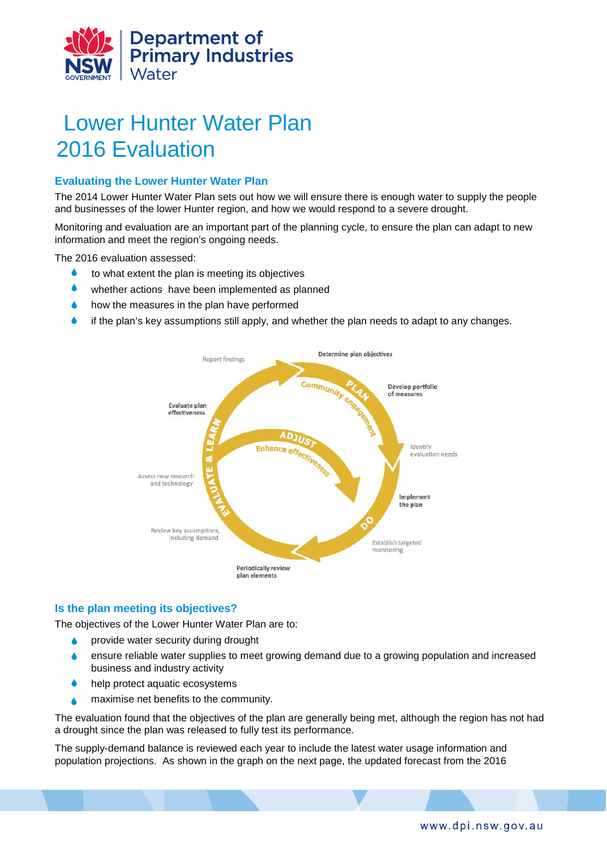

# Lower Hunter Water Plan 2016 Evaluation

## **Evaluating the Lower Hunter Water Plan**

The 2014 Lower Hunter Water Plan sets out how we will ensure there is enough water to supply the people and businesses of the lower Hunter region, and how we would respond to a severe drought.

Monitoring and evaluation are an important part of the planning cycle, to ensure the plan can adapt to new information and meet the region's ongoing needs.

The 2016 evaluation assessed:

- $\bullet$  to what extent the plan is meeting its objectives
- whether actions have been implemented as planned
- how the measures in the plan have performed
- $\bullet$  if the plan's key assumptions still apply, and whether the plan needs to adapt to any changes.



## **Is the plan meeting its objectives?**

The objectives of the Lower Hunter Water Plan are to:

- provide water security during drought
- ensure reliable water supplies to meet growing demand due to a growing population and increased business and industry activity
- help protect aquatic ecosystems
- maximise net benefits to the community.

The evaluation found that the objectives of the plan are generally being met, although the region has not had a drought since the plan was released to fully test its performance.

The supply-demand balance is reviewed each year to include the latest water usage information and population projections. As shown in the graph on the next page, the updated forecast from the 2016

www.dpi.nsw.gov.au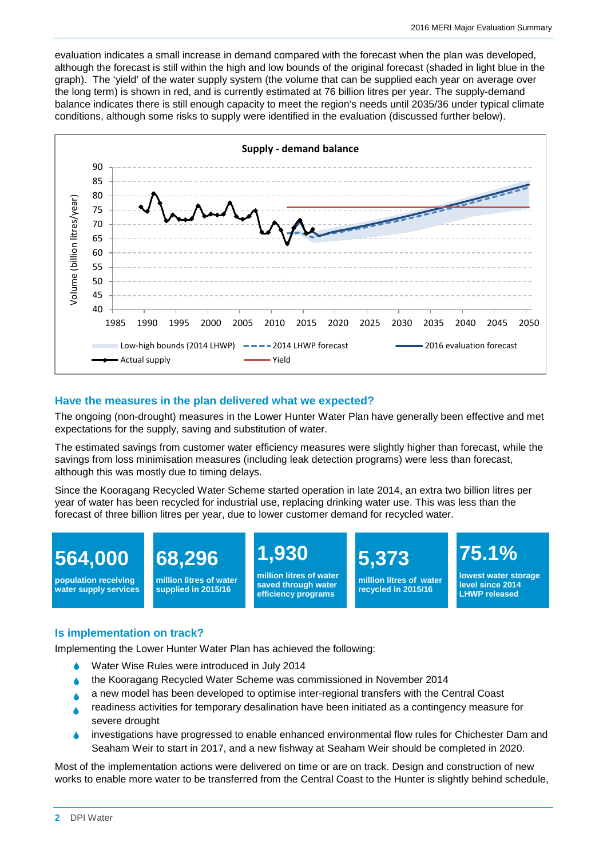evaluation indicates a small increase in demand compared with the forecast when the plan was developed, although the forecast is still within the high and low bounds of the original forecast (shaded in light blue in the graph). The 'yield' of the water supply system (the volume that can be supplied each year on average over the long term) is shown in red, and is currently estimated at 76 billion litres per year. The supply-demand balance indicates there is still enough capacity to meet the region's needs until 2035/36 under typical climate conditions, although some risks to supply were identified in the evaluation (discussed further below).



### **Have the measures in the plan delivered what we expected?**

The ongoing (non-drought) measures in the Lower Hunter Water Plan have generally been effective and met expectations for the supply, saving and substitution of water.

The estimated savings from customer water efficiency measures were slightly higher than forecast, while the savings from loss minimisation measures (including leak detection programs) were less than forecast, although this was mostly due to timing delays.

Since the Kooragang Recycled Water Scheme started operation in late 2014, an extra two billion litres per year of water has been recycled for industrial use, replacing drinking water use. This was less than the forecast of three billion litres per year, due to lower customer demand for recycled water.



### **Is implementation on track?**

Implementing the Lower Hunter Water Plan has achieved the following:

- Water Wise Rules were introduced in July 2014
- the Kooragang Recycled Water Scheme was commissioned in November 2014
- **A** a new model has been developed to optimise inter-regional transfers with the Central Coast
- readiness activities for temporary desalination have been initiated as a contingency measure for severe drought
- investigations have progressed to enable enhanced environmental flow rules for Chichester Dam and Seaham Weir to start in 2017, and a new fishway at Seaham Weir should be completed in 2020.

Most of the implementation actions were delivered on time or are on track. Design and construction of new works to enable more water to be transferred from the Central Coast to the Hunter is slightly behind schedule,